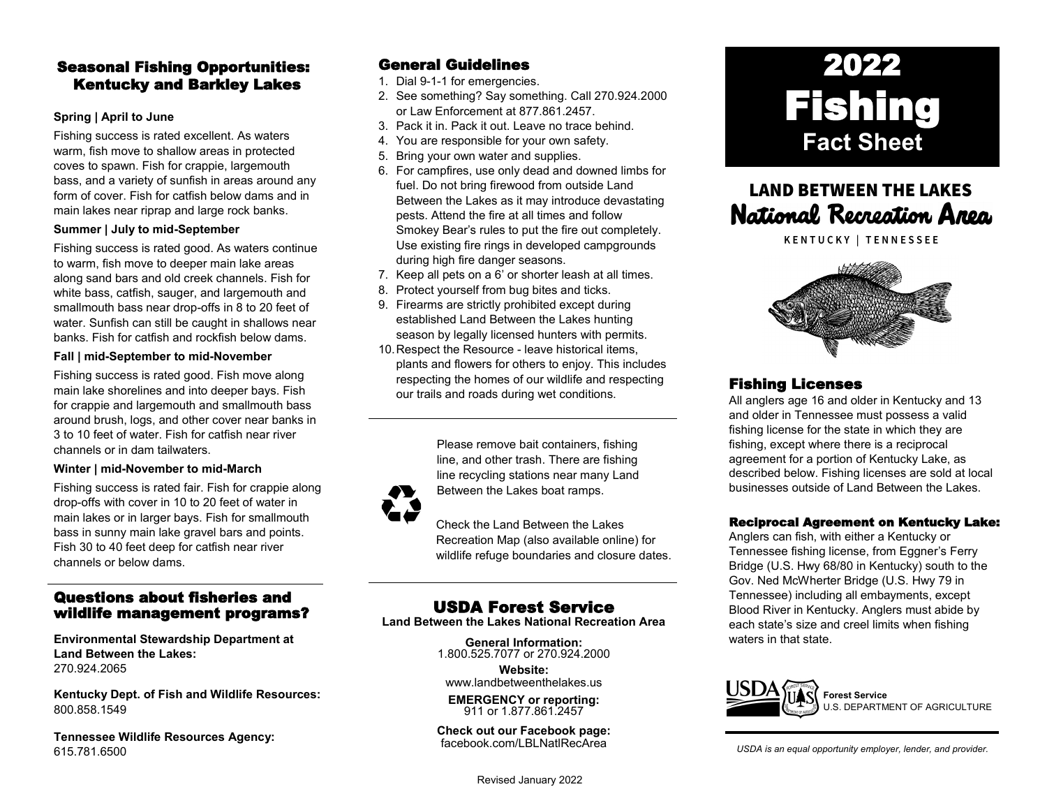## Seasonal Fishing Opportunities: Kentucky and Barkley Lakes

### **Spring | April to June**

Fishing success is rated excellent. As waters warm, fish move to shallow areas in protected coves to spawn. Fish for crappie, largemouth bass, and a variety of sunfish in areas around any form of cover. Fish for catfish below dams and in main lakes near riprap and large rock banks.

### **Summer | July to mid-September**

Fishing success is rated good. As waters continue to warm, fish move to deeper main lake areas along sand bars and old creek channels. Fish for white bass, catfish, sauger, and largemouth and smallmouth bass near drop-offs in 8 to 20 feet of water. Sunfish can still be caught in shallows near banks. Fish for catfish and rockfish below dams.

#### **Fall | mid-September to mid-November**

Fishing success is rated good. Fish move along main lake shorelines and into deeper bays. Fish for crappie and largemouth and smallmouth bass around brush, logs, and other cover near banks in 3 to 10 feet of water. Fish for catfish near river channels or in dam tailwaters.

### **Winter | mid-November to mid-March**

Fishing success is rated fair. Fish for crappie along drop-offs with cover in 10 to 20 feet of water in main lakes or in larger bays. Fish for smallmouth bass in sunny main lake gravel bars and points. Fish 30 to 40 feet deep for catfish near river channels or below dams.

### Questions about fisheries and wildlife management programs?

**Environmental Stewardship Department at Land Between the Lakes:** 270.924.2065

**Kentucky Dept. of Fish and Wildlife Resources:** 800.858.1549

**Tennessee Wildlife Resources Agency:** 615.781.6500

### General Guidelines

1. Dial 9-1-1 for emergencies.

- 2. See something? Say something. Call 270.924.2000 or Law Enforcement at 877.861.2457.
- 3. Pack it in. Pack it out. Leave no trace behind.
- 4. You are responsible for your own safety.
- 5. Bring your own water and supplies.
- 6. For campfires, use only dead and downed limbs for fuel. Do not bring firewood from outside Land Between the Lakes as it may introduce devastating pests. Attend the fire at all times and follow Smokey Bear's rules to put the fire out completely. Use existing fire rings in developed campgrounds during high fire danger seasons.
- 7. Keep all pets on a 6' or shorter leash at all times.
- 8. Protect yourself from bug bites and ticks.
- 9. Firearms are strictly prohibited except during established Land Between the Lakes hunting season by legally licensed hunters with permits.
- 10.Respect the Resource leave historical items, plants and flowers for others to enjoy. This includes respecting the homes of our wildlife and respecting our trails and roads during wet conditions.

Please remove bait containers, fishing line, and other trash. There are fishing line recycling stations near many Land Between the Lakes boat ramps.



Check the Land Between the Lakes Recreation Map (also available online) for wildlife refuge boundaries and closure dates.

## USDA Forest Service

**Land Between the Lakes National Recreation Area**

**General Information:** 1.800.525.7077 or 270.924.2000

**Website:** [www.landbetweenthelakes.us](http://www.landbetweenthelakes.us)

**EMERGENCY or reporting:**  911 or 1.877.861.2457

**Check out our Facebook page:** [facebook.com/LBLNatlRecArea](http://www.facebook.com/FriendsofLandBetweenTheLakes)

2022 Fishing **Fact Sheet** 

# **LAND BETWEEN THE LAKES National Recreation Area**

KENTUCKY | TENNESSEE



### Fishing Licenses

All anglers age 16 and older in Kentucky and 13 and older in Tennessee must possess a valid fishing license for the state in which they are fishing, except where there is a reciprocal agreement for a portion of Kentucky Lake, as described below. Fishing licenses are sold at local businesses outside of Land Between the Lakes.

### Reciprocal Agreement on Kentucky Lake:

Anglers can fish, with either a Kentucky or Tennessee fishing license, from Eggner's Ferry Bridge (U.S. Hwy 68/80 in Kentucky) south to the Gov. Ned McWherter Bridge (U.S. Hwy 79 in Tennessee) including all embayments, except Blood River in Kentucky. Anglers must abide by each state's size and creel limits when fishing waters in that state.



**Forest Service** U.S. DEPARTMENT OF AGRICULTURE

*USDA is an equal opportunity employer, lender, and provider.*

Revised January 2022